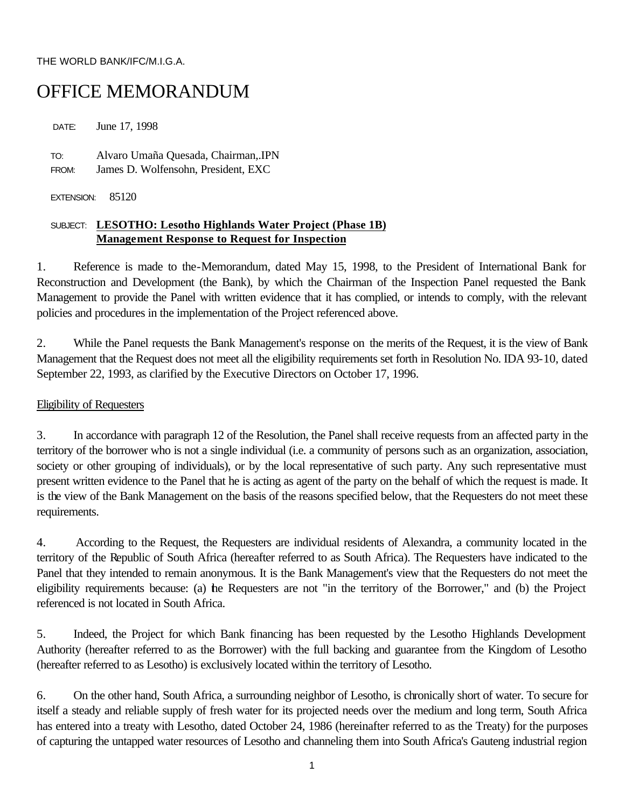#### THE WORLD BANK/IFC/M.I.G.A.

# OFFICE MEMORANDUM

DATE: June 17, 1998 TO: Alvaro Umaña Quesada, Chairman,.IPN FROM: James D. Wolfensohn, President, EXC

EXTENSION: 85120

# SUBJECT: **LESOTHO: Lesotho Highlands Water Project (Phase 1B) Management Response to Request for Inspection**

1. Reference is made to the-Memorandum, dated May 15, 1998, to the President of International Bank for Reconstruction and Development (the Bank), by which the Chairman of the Inspection Panel requested the Bank Management to provide the Panel with written evidence that it has complied, or intends to comply, with the relevant policies and procedures in the implementation of the Project referenced above.

2. While the Panel requests the Bank Management's response on the merits of the Request, it is the view of Bank Management that the Request does not meet all the eligibility requirements set forth in Resolution No. IDA 93-10, dated September 22, 1993, as clarified by the Executive Directors on October 17, 1996.

## Eligibility of Requesters

3. In accordance with paragraph 12 of the Resolution, the Panel shall receive requests from an affected party in the territory of the borrower who is not a single individual (i.e. a community of persons such as an organization, association, society or other grouping of individuals), or by the local representative of such party. Any such representative must present written evidence to the Panel that he is acting as agent of the party on the behalf of which the request is made. It is the view of the Bank Management on the basis of the reasons specified below, that the Requesters do not meet these requirements.

4. According to the Request, the Requesters are individual residents of Alexandra, a community located in the territory of the Republic of South Africa (hereafter referred to as South Africa). The Requesters have indicated to the Panel that they intended to remain anonymous. It is the Bank Management's view that the Requesters do not meet the eligibility requirements because: (a) the Requesters are not "in the territory of the Borrower," and (b) the Project referenced is not located in South Africa.

5. Indeed, the Project for which Bank financing has been requested by the Lesotho Highlands Development Authority (hereafter referred to as the Borrower) with the full backing and guarantee from the Kingdom of Lesotho (hereafter referred to as Lesotho) is exclusively located within the territory of Lesotho.

6. On the other hand, South Africa, a surrounding neighbor of Lesotho, is chronically short of water. To secure for itself a steady and reliable supply of fresh water for its projected needs over the medium and long term, South Africa has entered into a treaty with Lesotho, dated October 24, 1986 (hereinafter referred to as the Treaty) for the purposes of capturing the untapped water resources of Lesotho and channeling them into South Africa's Gauteng industrial region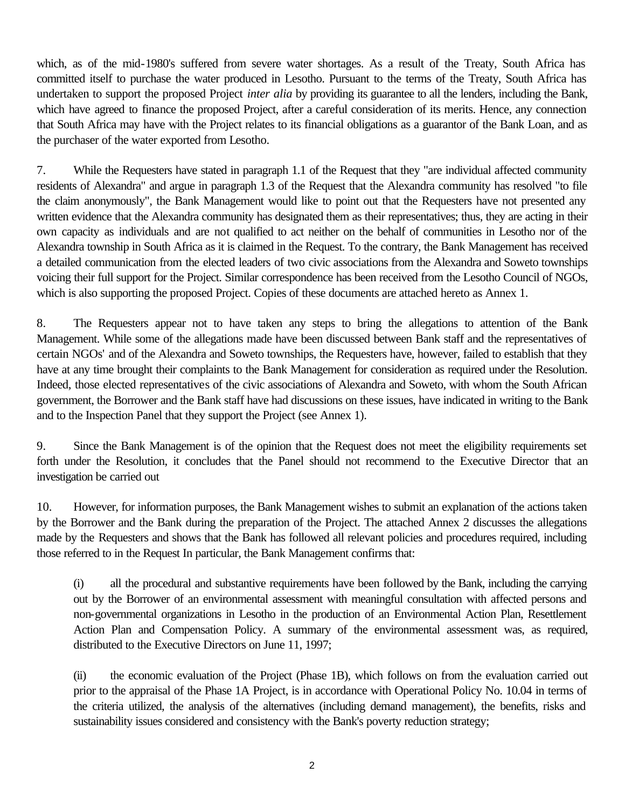which, as of the mid-1980's suffered from severe water shortages. As a result of the Treaty, South Africa has committed itself to purchase the water produced in Lesotho. Pursuant to the terms of the Treaty, South Africa has undertaken to support the proposed Project *inter alia* by providing its guarantee to all the lenders, including the Bank, which have agreed to finance the proposed Project, after a careful consideration of its merits. Hence, any connection that South Africa may have with the Project relates to its financial obligations as a guarantor of the Bank Loan, and as the purchaser of the water exported from Lesotho.

7. While the Requesters have stated in paragraph 1.1 of the Request that they "are individual affected community residents of Alexandra" and argue in paragraph 1.3 of the Request that the Alexandra community has resolved "to file the claim anonymously", the Bank Management would like to point out that the Requesters have not presented any written evidence that the Alexandra community has designated them as their representatives; thus, they are acting in their own capacity as individuals and are not qualified to act neither on the behalf of communities in Lesotho nor of the Alexandra township in South Africa as it is claimed in the Request. To the contrary, the Bank Management has received a detailed communication from the elected leaders of two civic associations from the Alexandra and Soweto townships voicing their full support for the Project. Similar correspondence has been received from the Lesotho Council of NGOs, which is also supporting the proposed Project. Copies of these documents are attached hereto as Annex 1.

8. The Requesters appear not to have taken any steps to bring the allegations to attention of the Bank Management. While some of the allegations made have been discussed between Bank staff and the representatives of certain NGOs' and of the Alexandra and Soweto townships, the Requesters have, however, failed to establish that they have at any time brought their complaints to the Bank Management for consideration as required under the Resolution. Indeed, those elected representatives of the civic associations of Alexandra and Soweto, with whom the South African government, the Borrower and the Bank staff have had discussions on these issues, have indicated in writing to the Bank and to the Inspection Panel that they support the Project (see Annex 1).

9. Since the Bank Management is of the opinion that the Request does not meet the eligibility requirements set forth under the Resolution, it concludes that the Panel should not recommend to the Executive Director that an investigation be carried out

10. However, for information purposes, the Bank Management wishes to submit an explanation of the actions taken by the Borrower and the Bank during the preparation of the Project. The attached Annex 2 discusses the allegations made by the Requesters and shows that the Bank has followed all relevant policies and procedures required, including those referred to in the Request In particular, the Bank Management confirms that:

(i) all the procedural and substantive requirements have been followed by the Bank, including the carrying out by the Borrower of an environmental assessment with meaningful consultation with affected persons and non-governmental organizations in Lesotho in the production of an Environmental Action Plan, Resettlement Action Plan and Compensation Policy. A summary of the environmental assessment was, as required, distributed to the Executive Directors on June 11, 1997;

(ii) the economic evaluation of the Project (Phase 1B), which follows on from the evaluation carried out prior to the appraisal of the Phase 1A Project, is in accordance with Operational Policy No. 10.04 in terms of the criteria utilized, the analysis of the alternatives (including demand management), the benefits, risks and sustainability issues considered and consistency with the Bank's poverty reduction strategy;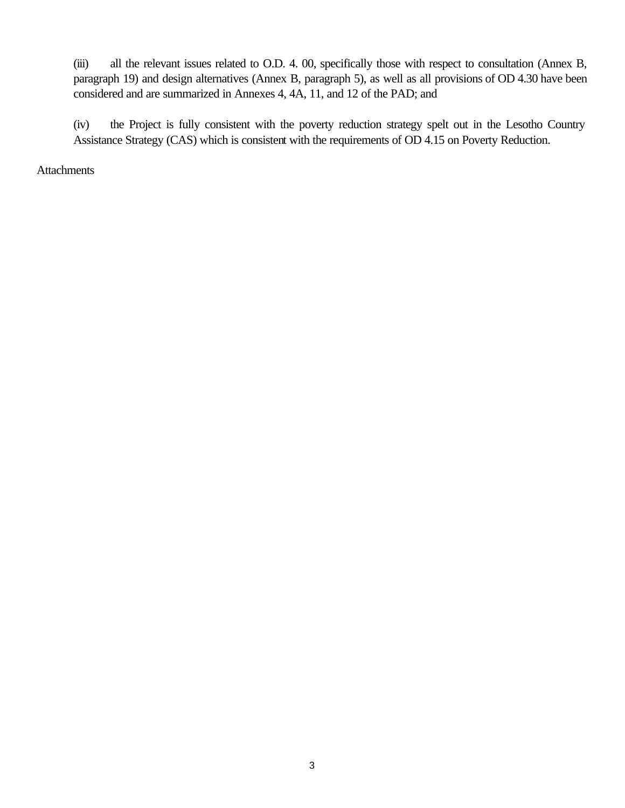(iii) all the relevant issues related to O.D. 4. 00, specifically those with respect to consultation (Annex B, paragraph 19) and design alternatives (Annex B, paragraph 5), as well as all provisions of OD 4.30 have been considered and are summarized in Annexes 4, 4A, 11, and 12 of the PAD; and

(iv) the Project is fully consistent with the poverty reduction strategy spelt out in the Lesotho Country Assistance Strategy (CAS) which is consistent with the requirements of OD 4.15 on Poverty Reduction.

**Attachments**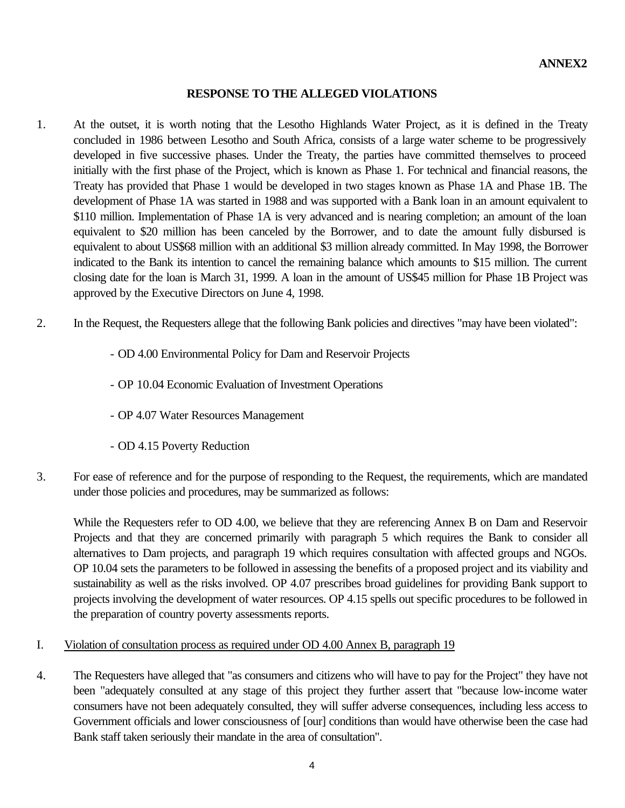# **RESPONSE TO THE ALLEGED VIOLATIONS**

- 1. At the outset, it is worth noting that the Lesotho Highlands Water Project, as it is defined in the Treaty concluded in 1986 between Lesotho and South Africa, consists of a large water scheme to be progressively developed in five successive phases. Under the Treaty, the parties have committed themselves to proceed initially with the first phase of the Project, which is known as Phase 1. For technical and financial reasons, the Treaty has provided that Phase 1 would be developed in two stages known as Phase 1A and Phase 1B. The development of Phase 1A was started in 1988 and was supported with a Bank loan in an amount equivalent to \$110 million. Implementation of Phase 1A is very advanced and is nearing completion; an amount of the loan equivalent to \$20 million has been canceled by the Borrower, and to date the amount fully disbursed is equivalent to about US\$68 million with an additional \$3 million already committed. In May 1998, the Borrower indicated to the Bank its intention to cancel the remaining balance which amounts to \$15 million. The current closing date for the loan is March 31, 1999. A loan in the amount of US\$45 million for Phase 1B Project was approved by the Executive Directors on June 4, 1998.
- 2. In the Request, the Requesters allege that the following Bank policies and directives "may have been violated":
	- OD 4.00 Environmental Policy for Dam and Reservoir Projects
	- OP 10.04 Economic Evaluation of Investment Operations
	- OP 4.07 Water Resources Management
	- OD 4.15 Poverty Reduction
- 3. For ease of reference and for the purpose of responding to the Request, the requirements, which are mandated under those policies and procedures, may be summarized as follows:

While the Requesters refer to OD 4.00, we believe that they are referencing Annex B on Dam and Reservoir Projects and that they are concerned primarily with paragraph 5 which requires the Bank to consider all alternatives to Dam projects, and paragraph 19 which requires consultation with affected groups and NGOs. OP 10.04 sets the parameters to be followed in assessing the benefits of a proposed project and its viability and sustainability as well as the risks involved. OP 4.07 prescribes broad guidelines for providing Bank support to projects involving the development of water resources. OP 4.15 spells out specific procedures to be followed in the preparation of country poverty assessments reports.

# I. Violation of consultation process as required under OD 4.00 Annex B, paragraph 19

4. The Requesters have alleged that "as consumers and citizens who will have to pay for the Project" they have not been "adequately consulted at any stage of this project they further assert that "because low-income water consumers have not been adequately consulted, they will suffer adverse consequences, including less access to Government officials and lower consciousness of [our] conditions than would have otherwise been the case had Bank staff taken seriously their mandate in the area of consultation".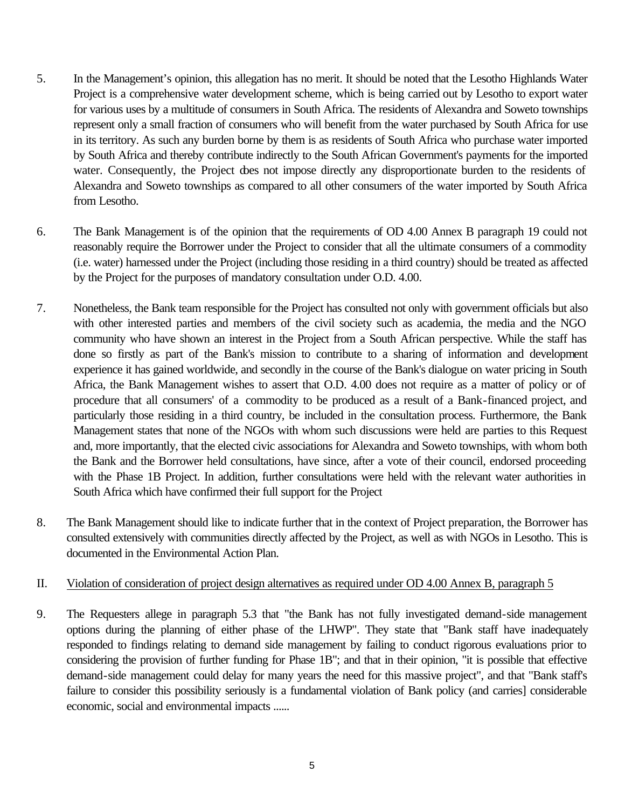- 5. In the Management's opinion, this allegation has no merit. It should be noted that the Lesotho Highlands Water Project is a comprehensive water development scheme, which is being carried out by Lesotho to export water for various uses by a multitude of consumers in South Africa. The residents of Alexandra and Soweto townships represent only a small fraction of consumers who will benefit from the water purchased by South Africa for use in its territory. As such any burden borne by them is as residents of South Africa who purchase water imported by South Africa and thereby contribute indirectly to the South African Government's payments for the imported water. Consequently, the Project does not impose directly any disproportionate burden to the residents of Alexandra and Soweto townships as compared to all other consumers of the water imported by South Africa from Lesotho.
- 6. The Bank Management is of the opinion that the requirements of OD 4.00 Annex B paragraph 19 could not reasonably require the Borrower under the Project to consider that all the ultimate consumers of a commodity (i.e. water) harnessed under the Project (including those residing in a third country) should be treated as affected by the Project for the purposes of mandatory consultation under O.D. 4.00.
- 7. Nonetheless, the Bank team responsible for the Project has consulted not only with government officials but also with other interested parties and members of the civil society such as academia, the media and the NGO community who have shown an interest in the Project from a South African perspective. While the staff has done so firstly as part of the Bank's mission to contribute to a sharing of information and development experience it has gained worldwide, and secondly in the course of the Bank's dialogue on water pricing in South Africa, the Bank Management wishes to assert that O.D. 4.00 does not require as a matter of policy or of procedure that all consumers' of a commodity to be produced as a result of a Bank-financed project, and particularly those residing in a third country, be included in the consultation process. Furthermore, the Bank Management states that none of the NGOs with whom such discussions were held are parties to this Request and, more importantly, that the elected civic associations for Alexandra and Soweto townships, with whom both the Bank and the Borrower held consultations, have since, after a vote of their council, endorsed proceeding with the Phase 1B Project. In addition, further consultations were held with the relevant water authorities in South Africa which have confirmed their full support for the Project
- 8. The Bank Management should like to indicate further that in the context of Project preparation, the Borrower has consulted extensively with communities directly affected by the Project, as well as with NGOs in Lesotho. This is documented in the Environmental Action Plan.

## II. Violation of consideration of project design alternatives as required under OD 4.00 Annex B, paragraph 5

9. The Requesters allege in paragraph 5.3 that "the Bank has not fully investigated demand-side management options during the planning of either phase of the LHWP". They state that "Bank staff have inadequately responded to findings relating to demand side management by failing to conduct rigorous evaluations prior to considering the provision of further funding for Phase 1B"; and that in their opinion, "it is possible that effective demand-side management could delay for many years the need for this massive project", and that "Bank staff's failure to consider this possibility seriously is a fundamental violation of Bank policy (and carries] considerable economic, social and environmental impacts ......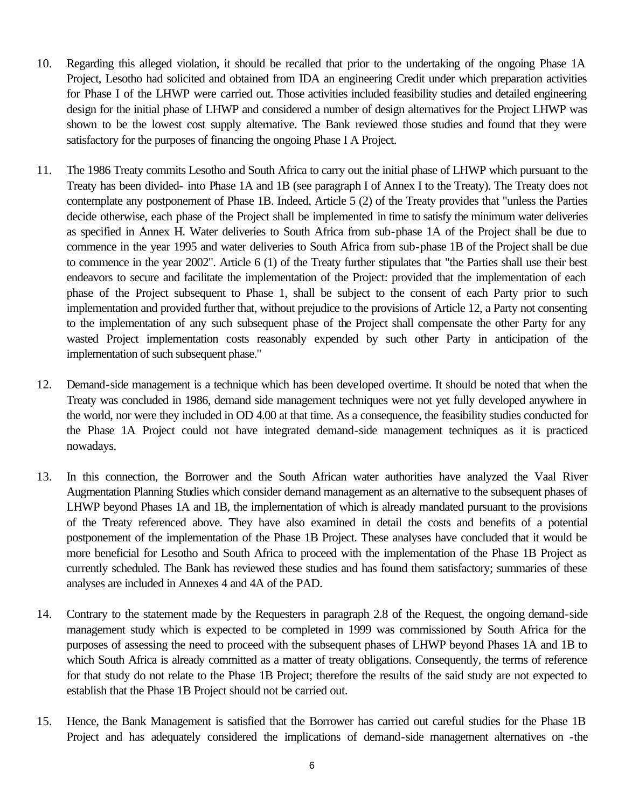- 10. Regarding this alleged violation, it should be recalled that prior to the undertaking of the ongoing Phase 1A Project, Lesotho had solicited and obtained from IDA an engineering Credit under which preparation activities for Phase I of the LHWP were carried out. Those activities included feasibility studies and detailed engineering design for the initial phase of LHWP and considered a number of design alternatives for the Project LHWP was shown to be the lowest cost supply alternative. The Bank reviewed those studies and found that they were satisfactory for the purposes of financing the ongoing Phase I A Project.
- 11. The 1986 Treaty commits Lesotho and South Africa to carry out the initial phase of LHWP which pursuant to the Treaty has been divided- into Phase 1A and 1B (see paragraph I of Annex I to the Treaty). The Treaty does not contemplate any postponement of Phase 1B. Indeed, Article 5 (2) of the Treaty provides that "unless the Parties decide otherwise, each phase of the Project shall be implemented in time to satisfy the minimum water deliveries as specified in Annex H. Water deliveries to South Africa from sub-phase 1A of the Project shall be due to commence in the year 1995 and water deliveries to South Africa from sub-phase 1B of the Project shall be due to commence in the year 2002". Article 6 (1) of the Treaty further stipulates that "the Parties shall use their best endeavors to secure and facilitate the implementation of the Project: provided that the implementation of each phase of the Project subsequent to Phase 1, shall be subject to the consent of each Party prior to such implementation and provided further that, without prejudice to the provisions of Article 12, a Party not consenting to the implementation of any such subsequent phase of the Project shall compensate the other Party for any wasted Project implementation costs reasonably expended by such other Party in anticipation of the implementation of such subsequent phase."
- 12. Demand-side management is a technique which has been developed overtime. It should be noted that when the Treaty was concluded in 1986, demand side management techniques were not yet fully developed anywhere in the world, nor were they included in OD 4.00 at that time. As a consequence, the feasibility studies conducted for the Phase 1A Project could not have integrated demand-side management techniques as it is practiced nowadays.
- 13. In this connection, the Borrower and the South African water authorities have analyzed the Vaal River Augmentation Planning Studies which consider demand management as an alternative to the subsequent phases of LHWP beyond Phases 1A and 1B, the implementation of which is already mandated pursuant to the provisions of the Treaty referenced above. They have also examined in detail the costs and benefits of a potential postponement of the implementation of the Phase 1B Project. These analyses have concluded that it would be more beneficial for Lesotho and South Africa to proceed with the implementation of the Phase 1B Project as currently scheduled. The Bank has reviewed these studies and has found them satisfactory; summaries of these analyses are included in Annexes 4 and 4A of the PAD.
- 14. Contrary to the statement made by the Requesters in paragraph 2.8 of the Request, the ongoing demand-side management study which is expected to be completed in 1999 was commissioned by South Africa for the purposes of assessing the need to proceed with the subsequent phases of LHWP beyond Phases 1A and 1B to which South Africa is already committed as a matter of treaty obligations. Consequently, the terms of reference for that study do not relate to the Phase 1B Project; therefore the results of the said study are not expected to establish that the Phase 1B Project should not be carried out.
- 15. Hence, the Bank Management is satisfied that the Borrower has carried out careful studies for the Phase 1B Project and has adequately considered the implications of demand-side management alternatives on -the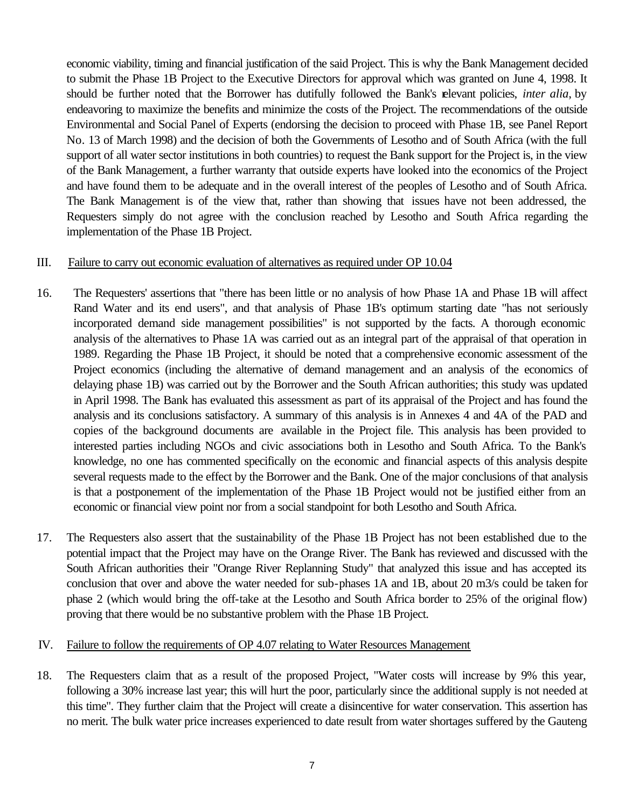economic viability, timing and financial justification of the said Project. This is why the Bank Management decided to submit the Phase 1B Project to the Executive Directors for approval which was granted on June 4, 1998. It should be further noted that the Borrower has dutifully followed the Bank's relevant policies, *inter alia*, by endeavoring to maximize the benefits and minimize the costs of the Project. The recommendations of the outside Environmental and Social Panel of Experts (endorsing the decision to proceed with Phase 1B, see Panel Report No. 13 of March 1998) and the decision of both the Governments of Lesotho and of South Africa (with the full support of all water sector institutions in both countries) to request the Bank support for the Project is, in the view of the Bank Management, a further warranty that outside experts have looked into the economics of the Project and have found them to be adequate and in the overall interest of the peoples of Lesotho and of South Africa. The Bank Management is of the view that, rather than showing that issues have not been addressed, the Requesters simply do not agree with the conclusion reached by Lesotho and South Africa regarding the implementation of the Phase 1B Project.

#### III. Failure to carry out economic evaluation of alternatives as required under OP 10.04

- 16. The Requesters' assertions that "there has been little or no analysis of how Phase 1A and Phase 1B will affect Rand Water and its end users", and that analysis of Phase 1B's optimum starting date "has not seriously incorporated demand side management possibilities" is not supported by the facts. A thorough economic analysis of the alternatives to Phase 1A was carried out as an integral part of the appraisal of that operation in 1989. Regarding the Phase 1B Project, it should be noted that a comprehensive economic assessment of the Project economics (including the alternative of demand management and an analysis of the economics of delaying phase 1B) was carried out by the Borrower and the South African authorities; this study was updated in April 1998. The Bank has evaluated this assessment as part of its appraisal of the Project and has found the analysis and its conclusions satisfactory. A summary of this analysis is in Annexes 4 and 4A of the PAD and copies of the background documents are available in the Project file. This analysis has been provided to interested parties including NGOs and civic associations both in Lesotho and South Africa. To the Bank's knowledge, no one has commented specifically on the economic and financial aspects of this analysis despite several requests made to the effect by the Borrower and the Bank. One of the major conclusions of that analysis is that a postponement of the implementation of the Phase 1B Project would not be justified either from an economic or financial view point nor from a social standpoint for both Lesotho and South Africa.
- 17. The Requesters also assert that the sustainability of the Phase 1B Project has not been established due to the potential impact that the Project may have on the Orange River. The Bank has reviewed and discussed with the South African authorities their "Orange River Replanning Study" that analyzed this issue and has accepted its conclusion that over and above the water needed for sub-phases 1A and 1B, about 20 m3/s could be taken for phase 2 (which would bring the off-take at the Lesotho and South Africa border to 25% of the original flow) proving that there would be no substantive problem with the Phase 1B Project.

#### IV. Failure to follow the requirements of OP 4.07 relating to Water Resources Management

18. The Requesters claim that as a result of the proposed Project, "Water costs will increase by 9% this year, following a 30% increase last year; this will hurt the poor, particularly since the additional supply is not needed at this time". They further claim that the Project will create a disincentive for water conservation. This assertion has no merit. The bulk water price increases experienced to date result from water shortages suffered by the Gauteng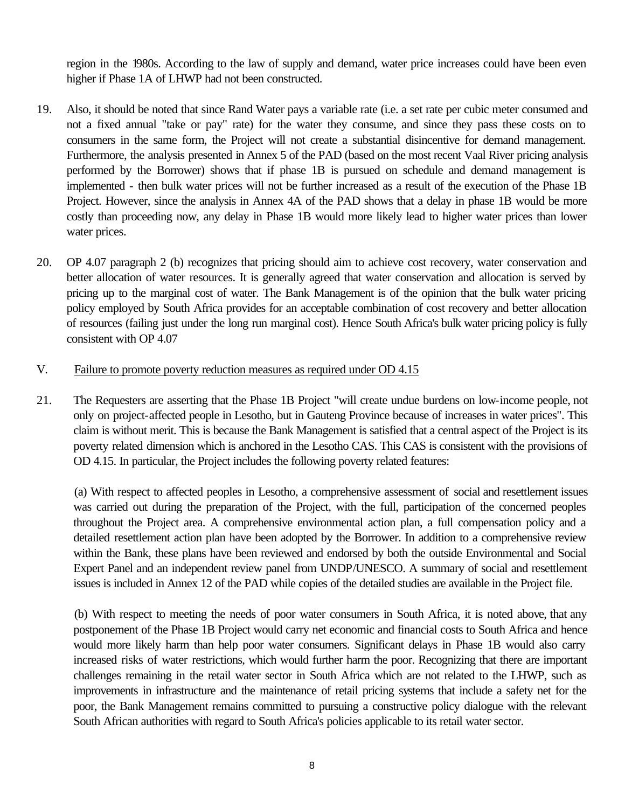region in the 1980s. According to the law of supply and demand, water price increases could have been even higher if Phase 1A of LHWP had not been constructed.

- 19. Also, it should be noted that since Rand Water pays a variable rate (i.e. a set rate per cubic meter consumed and not a fixed annual "take or pay" rate) for the water they consume, and since they pass these costs on to consumers in the same form, the Project will not create a substantial disincentive for demand management. Furthermore, the analysis presented in Annex 5 of the PAD (based on the most recent Vaal River pricing analysis performed by the Borrower) shows that if phase 1B is pursued on schedule and demand management is implemented - then bulk water prices will not be further increased as a result of the execution of the Phase 1B Project. However, since the analysis in Annex 4A of the PAD shows that a delay in phase 1B would be more costly than proceeding now, any delay in Phase 1B would more likely lead to higher water prices than lower water prices.
- 20. OP 4.07 paragraph 2 (b) recognizes that pricing should aim to achieve cost recovery, water conservation and better allocation of water resources. It is generally agreed that water conservation and allocation is served by pricing up to the marginal cost of water. The Bank Management is of the opinion that the bulk water pricing policy employed by South Africa provides for an acceptable combination of cost recovery and better allocation of resources (failing just under the long run marginal cost). Hence South Africa's bulk water pricing policy is fully consistent with OP 4.07
- V. Failure to promote poverty reduction measures as required under OD 4.15
- 21. The Requesters are asserting that the Phase 1B Project "will create undue burdens on low-income people, not only on project-affected people in Lesotho, but in Gauteng Province because of increases in water prices". This claim is without merit. This is because the Bank Management is satisfied that a central aspect of the Project is its poverty related dimension which is anchored in the Lesotho CAS. This CAS is consistent with the provisions of OD 4.15. In particular, the Project includes the following poverty related features:

(a) With respect to affected peoples in Lesotho, a comprehensive assessment of social and resettlement issues was carried out during the preparation of the Project, with the full, participation of the concerned peoples throughout the Project area. A comprehensive environmental action plan, a full compensation policy and a detailed resettlement action plan have been adopted by the Borrower. In addition to a comprehensive review within the Bank, these plans have been reviewed and endorsed by both the outside Environmental and Social Expert Panel and an independent review panel from UNDP/UNESCO. A summary of social and resettlement issues is included in Annex 12 of the PAD while copies of the detailed studies are available in the Project file.

(b) With respect to meeting the needs of poor water consumers in South Africa, it is noted above, that any postponement of the Phase 1B Project would carry net economic and financial costs to South Africa and hence would more likely harm than help poor water consumers. Significant delays in Phase 1B would also carry increased risks of water restrictions, which would further harm the poor. Recognizing that there are important challenges remaining in the retail water sector in South Africa which are not related to the LHWP, such as improvements in infrastructure and the maintenance of retail pricing systems that include a safety net for the poor, the Bank Management remains committed to pursuing a constructive policy dialogue with the relevant South African authorities with regard to South Africa's policies applicable to its retail water sector.